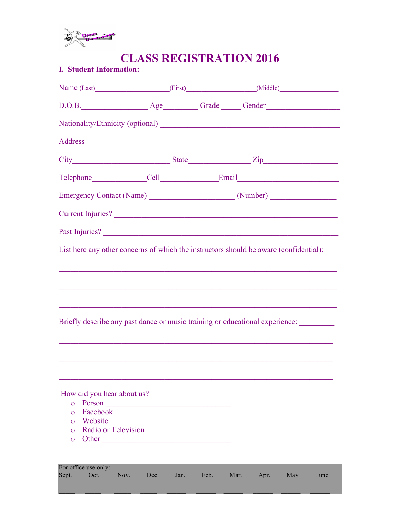

# **CLASS REGISTRATION 2016**

## **I. Student Information:**

|                                | Name (Last) (First) (Aldle)                                                                                                                                                                                                    |      |      |      |      |     |      |
|--------------------------------|--------------------------------------------------------------------------------------------------------------------------------------------------------------------------------------------------------------------------------|------|------|------|------|-----|------|
|                                | D.O.B. Age Grade Grade Cender                                                                                                                                                                                                  |      |      |      |      |     |      |
|                                |                                                                                                                                                                                                                                |      |      |      |      |     |      |
|                                | Address and the contract of the contract of the contract of the contract of the contract of the contract of the contract of the contract of the contract of the contract of the contract of the contract of the contract of th |      |      |      |      |     |      |
|                                |                                                                                                                                                                                                                                |      |      |      |      |     |      |
|                                |                                                                                                                                                                                                                                |      |      |      |      |     |      |
|                                |                                                                                                                                                                                                                                |      |      |      |      |     |      |
|                                | Current Injuries?                                                                                                                                                                                                              |      |      |      |      |     |      |
|                                |                                                                                                                                                                                                                                |      |      |      |      |     |      |
|                                | List here any other concerns of which the instructors should be aware (confidential):                                                                                                                                          |      |      |      |      |     |      |
|                                |                                                                                                                                                                                                                                |      |      |      |      |     |      |
|                                |                                                                                                                                                                                                                                |      |      |      |      |     |      |
|                                |                                                                                                                                                                                                                                |      |      |      |      |     |      |
|                                | <u> 1989 - Johann John Harry Harry Harry Harry Harry Harry Harry Harry Harry Harry Harry Harry Harry Harry Harry</u><br>Briefly describe any past dance or music training or educational experience:                           |      |      |      |      |     |      |
|                                |                                                                                                                                                                                                                                |      |      |      |      |     |      |
|                                |                                                                                                                                                                                                                                |      |      |      |      |     |      |
|                                |                                                                                                                                                                                                                                |      |      |      |      |     |      |
|                                |                                                                                                                                                                                                                                |      |      |      |      |     |      |
| How did you hear about us?     |                                                                                                                                                                                                                                |      |      |      |      |     |      |
| $\circ$<br>Facebook<br>$\circ$ | Person                                                                                                                                                                                                                         |      |      |      |      |     |      |
| Website<br>$\circ$             |                                                                                                                                                                                                                                |      |      |      |      |     |      |
| $\Omega$                       | Radio or Television                                                                                                                                                                                                            |      |      |      |      |     |      |
| $\circ$                        | Other                                                                                                                                                                                                                          |      |      |      |      |     |      |
|                                |                                                                                                                                                                                                                                |      |      |      |      |     |      |
| For office use only:           |                                                                                                                                                                                                                                |      |      |      |      |     |      |
| Oct.<br>Sept.                  | Nov.<br>Dec.                                                                                                                                                                                                                   | Jan. | Feb. | Mar. | Apr. | May | June |